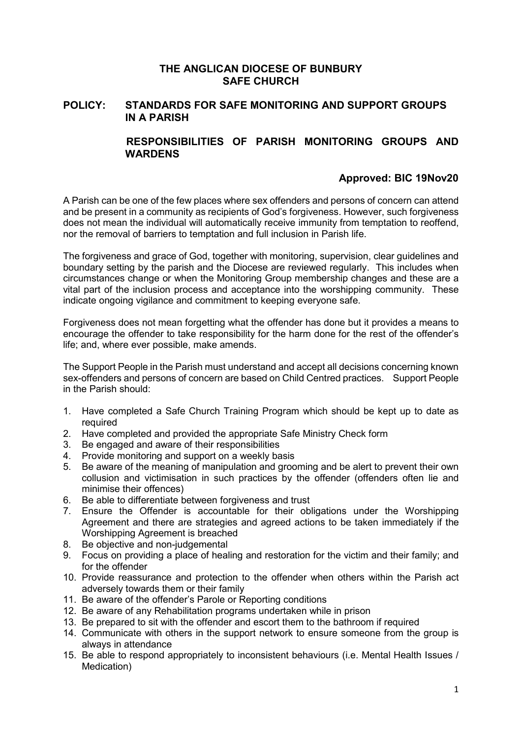### **THE ANGLICAN DIOCESE OF BUNBURY SAFE CHURCH**

## **POLICY: STANDARDS FOR SAFE MONITORING AND SUPPORT GROUPS IN A PARISH**

# **RESPONSIBILITIES OF PARISH MONITORING GROUPS AND WARDENS**

# **Approved: BIC 19Nov20**

A Parish can be one of the few places where sex offenders and persons of concern can attend and be present in a community as recipients of God's forgiveness. However, such forgiveness does not mean the individual will automatically receive immunity from temptation to reoffend, nor the removal of barriers to temptation and full inclusion in Parish life.

The forgiveness and grace of God, together with monitoring, supervision, clear guidelines and boundary setting by the parish and the Diocese are reviewed regularly. This includes when circumstances change or when the Monitoring Group membership changes and these are a vital part of the inclusion process and acceptance into the worshipping community. These indicate ongoing vigilance and commitment to keeping everyone safe.

Forgiveness does not mean forgetting what the offender has done but it provides a means to encourage the offender to take responsibility for the harm done for the rest of the offender's life; and, where ever possible, make amends.

The Support People in the Parish must understand and accept all decisions concerning known sex-offenders and persons of concern are based on Child Centred practices. Support People in the Parish should:

- 1. Have completed a Safe Church Training Program which should be kept up to date as required
- 2. Have completed and provided the appropriate Safe Ministry Check form
- 3. Be engaged and aware of their responsibilities
- 4. Provide monitoring and support on a weekly basis<br>5. Be aware of the meaning of manipulation and groom
- 5. Be aware of the meaning of manipulation and grooming and be alert to prevent their own collusion and victimisation in such practices by the offender (offenders often lie and minimise their offences)
- 6. Be able to differentiate between forgiveness and trust
- 7. Ensure the Offender is accountable for their obligations under the Worshipping Agreement and there are strategies and agreed actions to be taken immediately if the Worshipping Agreement is breached
- 8. Be objective and non-judgemental
- 9. Focus on providing a place of healing and restoration for the victim and their family; and for the offender
- 10. Provide reassurance and protection to the offender when others within the Parish act adversely towards them or their family
- 11. Be aware of the offender's Parole or Reporting conditions
- 12. Be aware of any Rehabilitation programs undertaken while in prison
- 13. Be prepared to sit with the offender and escort them to the bathroom if required
- 14. Communicate with others in the support network to ensure someone from the group is always in attendance
- 15. Be able to respond appropriately to inconsistent behaviours (i.e. Mental Health Issues / Medication)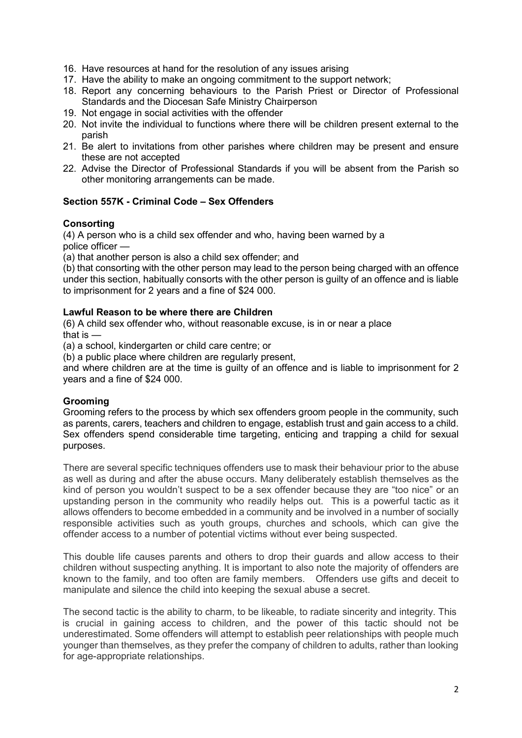- 16. Have resources at hand for the resolution of any issues arising
- 17. Have the ability to make an ongoing commitment to the support network;
- 18. Report any concerning behaviours to the Parish Priest or Director of Professional Standards and the Diocesan Safe Ministry Chairperson
- 19. Not engage in social activities with the offender
- 20. Not invite the individual to functions where there will be children present external to the parish
- 21. Be alert to invitations from other parishes where children may be present and ensure these are not accepted
- 22. Advise the Director of Professional Standards if you will be absent from the Parish so other monitoring arrangements can be made.

#### **Section 557K - Criminal Code – Sex Offenders**

#### **Consorting**

(4) A person who is a child sex offender and who, having been warned by a

police officer —

(a) that another person is also a child sex offender; and

(b) that consorting with the other person may lead to the person being charged with an offence under this section, habitually consorts with the other person is guilty of an offence and is liable to imprisonment for 2 years and a fine of \$24 000.

#### **Lawful Reason to be where there are Children**

(6) A child sex offender who, without reasonable excuse, is in or near a place that is —

(a) a school, kindergarten or child care centre; or

(b) a public place where children are regularly present,

and where children are at the time is guilty of an offence and is liable to imprisonment for 2 years and a fine of \$24 000.

#### **Grooming**

Grooming refers to the process by which sex offenders groom people in the community, such as parents, carers, teachers and children to engage, establish trust and gain access to a child. Sex offenders spend considerable time targeting, enticing and trapping a child for sexual purposes.

There are several specific techniques offenders use to mask their behaviour prior to the abuse as well as during and after the abuse occurs. Many deliberately establish themselves as the kind of person you wouldn't suspect to be a sex offender because they are "too nice" or an upstanding person in the community who readily helps out. This is a powerful tactic as it allows offenders to become embedded in a community and be involved in a number of socially responsible activities such as youth groups, churches and schools, which can give the offender access to a number of potential victims without ever being suspected.

This double life causes parents and others to drop their guards and allow access to their children without suspecting anything. It is important to also note the majority of offenders are known to the family, and too often are family members. Offenders use gifts and deceit to manipulate and silence the child into keeping the sexual abuse a secret.

The second tactic is the ability to charm, to be likeable, to radiate sincerity and integrity. This is crucial in gaining access to children, and the power of this tactic should not be underestimated. Some offenders will attempt to establish peer relationships with people much younger than themselves, as they prefer the company of children to adults, rather than looking for age-appropriate relationships.